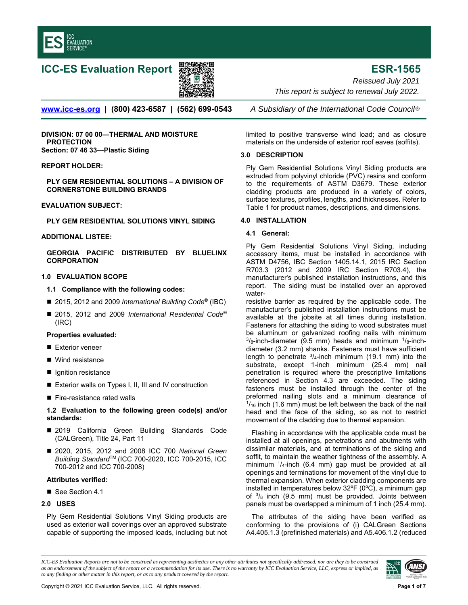

# **ICC-ES Evaluation Report ESR-1565**



*Reissued July 2021 This report is subject to renewal July 2022.* 

**www.icc-es.org | (800) 423-6587 | (562) 699-0543** *A Subsidiary of the International Code Council* ®

**DIVISION: 07 00 00—THERMAL AND MOISTURE PROTECTION Section: 07 46 33—Plastic Siding** 

# **REPORT HOLDER:**

**PLY GEM RESIDENTIAL SOLUTIONS – A DIVISION OF CORNERSTONE BUILDING BRANDS** 

#### **EVALUATION SUBJECT:**

**PLY GEM RESIDENTIAL SOLUTIONS VINYL SIDING** 

# **ADDITIONAL LISTEE:**

**GEORGIA PACIFIC DISTRIBUTED BY BLUELINX CORPORATION** 

# **1.0 EVALUATION SCOPE**

#### **1.1 Compliance with the following codes:**

- 2015, 2012 and 2009 *International Building Code®* (IBC)
- 2015, 2012 and 2009 *International Residential Code®* (IRC)

#### **Properties evaluated:**

- Exterior veneer
- Wind resistance
- **I** Ignition resistance
- Exterior walls on Types I, II, III and IV construction
- Fire-resistance rated walls

# **1.2 Evaluation to the following green code(s) and/or standards:**

- 2019 California Green Building Standards Code (CALGreen), Title 24, Part 11
- 2020, 2015, 2012 and 2008 ICC 700 National Green *Building Standard*TM (ICC 700-2020, ICC 700-2015, ICC 700-2012 and ICC 700-2008)

#### **Attributes verified:**

■ See Section 4.1

# **2.0 USES**

Ply Gem Residential Solutions Vinyl Siding products are used as exterior wall coverings over an approved substrate capable of supporting the imposed loads, including but not

limited to positive transverse wind load; and as closure materials on the underside of exterior roof eaves (soffits).

#### **3.0 DESCRIPTION**

Ply Gem Residential Solutions Vinyl Siding products are extruded from polyvinyl chloride (PVC) resins and conform to the requirements of ASTM D3679. These exterior cladding products are produced in a variety of colors, surface textures, profiles, lengths, and thicknesses. Refer to Table 1 for product names, descriptions, and dimensions.

#### **4.0 INSTALLATION**

# **4.1 General:**

Ply Gem Residential Solutions Vinyl Siding, including accessory items, must be installed in accordance with ASTM D4756, IBC Section 1405.14.1, 2015 IRC Section R703.3 (2012 and 2009 IRC Section R703.4), the manufacturer's published installation instructions, and this report. The siding must be installed over an approved water-

resistive barrier as required by the applicable code. The manufacturer's published installation instructions must be available at the jobsite at all times during installation. Fasteners for attaching the siding to wood substrates must be aluminum or galvanized roofing nails with minimum  $3\sqrt{8}}$ -inch-diameter (9.5 mm) heads and minimum  $1\sqrt{8}}$ -inchdiameter (3.2 mm) shanks. Fasteners must have sufficient length to penetrate  $3/4$ -inch minimum (19.1 mm) into the substrate, except 1-inch minimum (25.4 mm) nail penetration is required where the prescriptive limitations referenced in Section 4.3 are exceeded. The siding fasteners must be installed through the center of the preformed nailing slots and a minimum clearance of  $1/16$  inch (1.6 mm) must be left between the back of the nail head and the face of the siding, so as not to restrict movement of the cladding due to thermal expansion.

Flashing in accordance with the applicable code must be installed at all openings, penetrations and abutments with dissimilar materials, and at terminations of the siding and soffit, to maintain the weather tightness of the assembly. A minimum 1/4-inch (6.4 mm) gap must be provided at all openings and terminations for movement of the vinyl due to thermal expansion. When exterior cladding components are installed in temperatures below 32ºF (0ºC), a minimum gap of  $3/8$  inch (9.5 mm) must be provided. Joints between panels must be overlapped a minimum of 1 inch (25.4 mm).

The attributes of the siding have been verified as conforming to the provisions of (i) CALGreen Sections A4.405.1.3 (prefinished materials) and A5.406.1.2 (reduced

*ICC-ES Evaluation Reports are not to be construed as representing aesthetics or any other attributes not specifically addressed, nor are they to be construed as an endorsement of the subject of the report or a recommendation for its use. There is no warranty by ICC Evaluation Service, LLC, express or implied, as to any finding or other matter in this report, or as to any product covered by the report.*

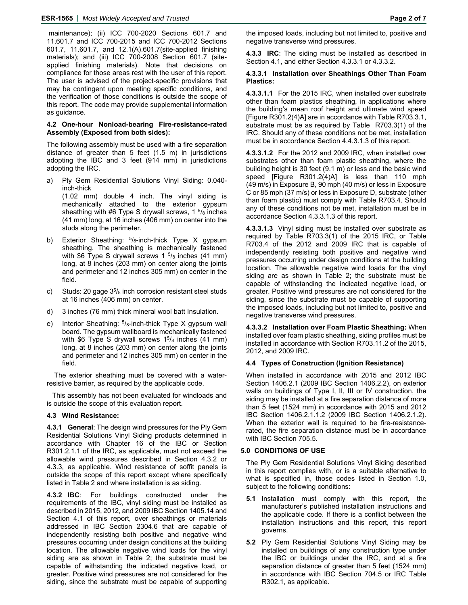maintenance); (ii) ICC 700-2020 Sections 601.7 and 11.601.7 and ICC 700-2015 and ICC 700-2012 Sections 601.7, 11.601.7, and 12.1(A).601.7(site-applied finishing materials); and (iii) ICC 700-2008 Section 601.7 (siteapplied finishing materials). Note that decisions on compliance for those areas rest with the user of this report. The user is advised of the project-specific provisions that may be contingent upon meeting specific conditions, and the verification of those conditions is outside the scope of this report. The code may provide supplemental information as guidance.

#### **4.2 One-hour Nonload-bearing Fire-resistance-rated Assembly (Exposed from both sides):**

The following assembly must be used with a fire separation distance of greater than 5 feet (1.5 m) in jurisdictions adopting the IBC and 3 feet (914 mm) in jurisdictions adopting the IRC.

- a) Ply Gem Residential Solutions Vinyl Siding: 0.040 inch-thick (1.02 mm) double 4 inch. The vinyl siding is mechanically attached to the exterior gypsum sheathing with #6 Type S drywall screws,  $1\frac{5}{8}$  inches (41 mm) long, at 16 inches (406 mm) on center into the studs along the perimeter.
- b) Exterior Sheathing:  $5/8$ -inch-thick Type X gypsum sheathing. The sheathing is mechanically fastened with \$6 Type S drywall screws 1  $\frac{5}{8}$  inches (41 mm) long, at 8 inches (203 mm) on center along the joints and perimeter and 12 inches 305 mm) on center in the field.
- c) Studs: 20 gage  $3^{5}/_8$  inch corrosion resistant steel studs at 16 inches (406 mm) on center.
- d) 3 inches (76 mm) thick mineral wool batt Insulation.
- e) Interior Sheathing:  $5/8$ -inch-thick Type X gypsum wall board. The gypsum wallboard is mechanically fastened with \$6 Type S drywall screws  $1<sup>5</sup>/8$  inches (41 mm) long, at 8 inches (203 mm) on center along the joints and perimeter and 12 inches 305 mm) on center in the field.

 The exterior sheathing must be covered with a waterresistive barrier, as required by the applicable code.

This assembly has not been evaluated for windloads and is outside the scope of this evaluation report.

# **4.3 Wind Resistance:**

**4.3.1 General**: The design wind pressures for the Ply Gem Residential Solutions Vinyl Siding products determined in accordance with Chapter 16 of the IBC or Section R301.2.1.1 of the IRC, as applicable, must not exceed the allowable wind pressures described in Section 4.3.2 or 4.3.3, as applicable. Wind resistance of soffit panels is outside the scope of this report except where specifically listed in Table 2 and where installation is as siding.

**4.3.2 IBC**: For buildings constructed under the requirements of the IBC, vinyl siding must be installed as described in 2015, 2012, and 2009 IBC Section 1405.14 and Section 4.1 of this report, over sheathings or materials addressed in IBC Section 2304.6 that are capable of independently resisting both positive and negative wind pressures occurring under design conditions at the building location. The allowable negative wind loads for the vinyl siding are as shown in Table 2; the substrate must be capable of withstanding the indicated negative load, or greater. Positive wind pressures are not considered for the siding, since the substrate must be capable of supporting

the imposed loads, including but not limited to, positive and negative transverse wind pressures.

**4.3.3 IRC**: The siding must be installed as described in Section 4.1, and either Section 4.3.3.1 or 4.3.3.2.

#### **4.3.3.1 Installation over Sheathings Other Than Foam Plastics:**

**4.3.3.1.1** For the 2015 IRC, when installed over substrate other than foam plastics sheathing, in applications where the building's mean roof height and ultimate wind speed [Figure R301.2(4)A] are in accordance with Table R703.3.1, substrate must be as required by Table R703.3(1) of the IRC. Should any of these conditions not be met, installation must be in accordance Section 4.4.3.1.3 of this report.

**4.3.3.1.2** For the 2012 and 2009 IRC, when installed over substrates other than foam plastic sheathing, where the building height is 30 feet (9.1 m) or less and the basic wind speed [Figure R301.2(4)A] is less than 110 mph (49 m/s) in Exposure B, 90 mph (40 m/s) or less in Exposure C or 85 mph (37 m/s) or less in Exposure D, substrate (other than foam plastic) must comply with Table R703.4. Should any of these conditions not be met, installation must be in accordance Section 4.3.3.1.3 of this report.

**4.3.3.1.3** Vinyl siding must be installed over substrate as required by Table R703.3(1) of the 2015 IRC, or Table R703.4 of the 2012 and 2009 IRC that is capable of independently resisting both positive and negative wind pressures occurring under design conditions at the building location. The allowable negative wind loads for the vinyl siding are as shown in Table 2; the substrate must be capable of withstanding the indicated negative load, or greater. Positive wind pressures are not considered for the siding, since the substrate must be capable of supporting the imposed loads, including but not limited to, positive and negative transverse wind pressures.

**4.3.3.2 Installation over Foam Plastic Sheathing:** When installed over foam plastic sheathing, siding profiles must be installed in accordance with Section R703.11.2 of the 2015, 2012, and 2009 IRC.

# **4.4 Types of Construction (Ignition Resistance)**

When installed in accordance with 2015 and 2012 IBC Section 1406.2.1 (2009 IBC Section 1406.2.2), on exterior walls on buildings of Type I, II, III or IV construction, the siding may be installed at a fire separation distance of more than 5 feet (1524 mm) in accordance with 2015 and 2012 IBC Section 1406.2.1.1.2 (2009 IBC Section 1406.2.1.2). When the exterior wall is required to be fire-resistancerated, the fire separation distance must be in accordance with IBC Section 705.5.

# **5.0 CONDITIONS OF USE**

The Ply Gem Residential Solutions Vinyl Siding described in this report complies with, or is a suitable alternative to what is specified in, those codes listed in Section 1.0, subject to the following conditions:

- **5.1** Installation must comply with this report, the manufacturer's published installation instructions and the applicable code. If there is a conflict between the installation instructions and this report, this report governs.
- **5.2** Ply Gem Residential Solutions Vinyl Siding may be installed on buildings of any construction type under the IBC or buildings under the IRC, and at a fire separation distance of greater than 5 feet (1524 mm) in accordance with IBC Section 704.5 or IRC Table R302.1, as applicable.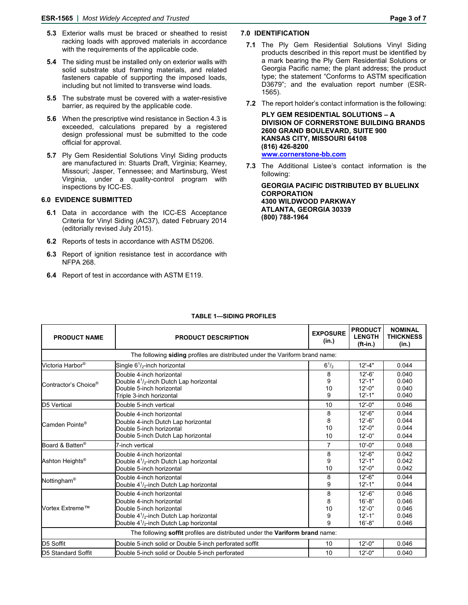- **5.3** Exterior walls must be braced or sheathed to resist racking loads with approved materials in accordance with the requirements of the applicable code.
- **5.4** The siding must be installed only on exterior walls with solid substrate stud framing materials, and related fasteners capable of supporting the imposed loads, including but not limited to transverse wind loads.
- **5.5** The substrate must be covered with a water-resistive barrier, as required by the applicable code.
- **5.6** When the prescriptive wind resistance in Section 4.3 is exceeded, calculations prepared by a registered design professional must be submitted to the code official for approval.
- **5.7** Ply Gem Residential Solutions Vinyl Siding products are manufactured in: Stuarts Draft, Virginia; Kearney, Missouri; Jasper, Tennessee; and Martinsburg, West Virginia, under a quality-control program with inspections by ICC-ES.

#### **6.0 EVIDENCE SUBMITTED**

- **6.1** Data in accordance with the ICC-ES Acceptance Criteria for Vinyl Siding (AC37), dated February 2014 (editorially revised July 2015).
- **6.2** Reports of tests in accordance with ASTM D5206.
- **6.3** Report of ignition resistance test in accordance with NFPA 268.
- **6.4** Report of test in accordance with ASTM E119.

#### **7.0 IDENTIFICATION**

- **7.1** The Ply Gem Residential Solutions Vinyl Siding products described in this report must be identified by a mark bearing the Ply Gem Residential Solutions or Georgia Pacific name; the plant address; the product type; the statement "Conforms to ASTM specification D3679"; and the evaluation report number (ESR-1565).
- **7.2** The report holder's contact information is the following:

**PLY GEM RESIDENTIAL SOLUTIONS – A DIVISION OF CORNERSTONE BUILDING BRANDS 2600 GRAND BOULEVARD, SUITE 900 KANSAS CITY, MISSOURI 64108 (816) 426-8200 www.cornerstone-bb.com** 

**7.3** The Additional Listee's contact information is the following:

**GEORGIA PACIFIC DISTRIBUTED BY BLUELINX CORPORATION 4300 WILDWOOD PARKWAY ATLANTA, GEORGIA 30339 (800) 788-1964** 

| <b>PRODUCT NAME</b>                                                          | <b>PRODUCT DESCRIPTION</b>                                                                                                                                                                              | <b>EXPOSURE</b><br>(in.) | <b>PRODUCT</b><br><b>LENGTH</b><br>$(ft-in.)$                       | <b>NOMINAL</b><br><b>THICKNESS</b><br>(in.) |
|------------------------------------------------------------------------------|---------------------------------------------------------------------------------------------------------------------------------------------------------------------------------------------------------|--------------------------|---------------------------------------------------------------------|---------------------------------------------|
|                                                                              | The following siding profiles are distributed under the Variform brand name:                                                                                                                            |                          |                                                                     |                                             |
| Victoria Harbor <sup>®</sup>                                                 | Single $6^{1}/_{2}$ -inch horizontal                                                                                                                                                                    | $6^{1/2}$                | $12' - 4"$                                                          | 0.044                                       |
| Contractor's Choice®                                                         | Double 4-inch horizontal<br>Double $4\frac{1}{2}$ -inch Dutch Lap horizontal<br>Double 5-inch horizontal<br>Triple 3-inch horizontal                                                                    | 8<br>9<br>10<br>9        | $12' - 6'$<br>$12 - 1"$<br>$12 - 0$ "<br>$12 - 1"$                  | 0.040<br>0.040<br>0.040<br>0.040            |
| D5 Vertical                                                                  | Double 5-inch vertical                                                                                                                                                                                  | 10                       | $12 - 0$ "                                                          | 0.046                                       |
| Camden Pointe <sup>®</sup>                                                   | Double 4-inch horizontal<br>Double 4-inch Dutch Lap horizontal<br>Double 5-inch horizontal<br>Double 5-inch Dutch Lap horizontal                                                                        | 8<br>8<br>10<br>10       | $12 - 6"$<br>$12' - 6"$<br>$12 - 0$ "<br>$12' - 0''$                | 0.044<br>0.044<br>0.044<br>0.044            |
| Board & Batten <sup>®</sup>                                                  | 7-inch vertical                                                                                                                                                                                         | $\overline{7}$           | $10' - 0"$                                                          | 0.048                                       |
| Ashton Heights <sup>®</sup>                                                  | Double 4-inch horizontal<br>Double $4\frac{1}{2}$ -inch Dutch Lap horizontal<br>Double 5-inch horizontal                                                                                                | 8<br>9<br>10             | $12 - 6"$<br>$12 - 1"$<br>$12 - 0$ "                                | 0.042<br>0.042<br>0.042                     |
| Nottingham <sup>®</sup>                                                      | Double 4-inch horizontal<br>Double $4^{1}/_{2}$ -inch Dutch Lap horizontal                                                                                                                              | 8<br>9                   | $12 - 6"$<br>$12 - 1"$                                              | 0.044<br>0.044                              |
| Vortex Extreme™                                                              | Double 4-inch horizontal<br>Double 4-inch horizontal<br>Double 5-inch horizontal<br>Double $4\frac{1}{2}$ -inch Dutch Lap horizontal<br>Double 4 <sup>1</sup> / <sub>2</sub> -inch Dutch Lap horizontal | 8<br>8<br>10<br>9<br>q   | $12' - 6"$<br>$16' - 8"$<br>$12' - 0''$<br>$12' - 1"$<br>$16' - 8"$ | 0.046<br>0.046<br>0.046<br>0.046<br>0.046   |
| The following soffit profiles are distributed under the Variform brand name: |                                                                                                                                                                                                         |                          |                                                                     |                                             |
| D5 Soffit                                                                    | Double 5-inch solid or Double 5-inch perforated soffit                                                                                                                                                  | 10                       | $12 - 0$ "                                                          | 0.046                                       |
| D5 Standard Soffit                                                           | Double 5-inch solid or Double 5-inch perforated                                                                                                                                                         | 10                       | $12 - 0"$                                                           | 0.040                                       |

# **TABLE 1—SIDING PROFILES**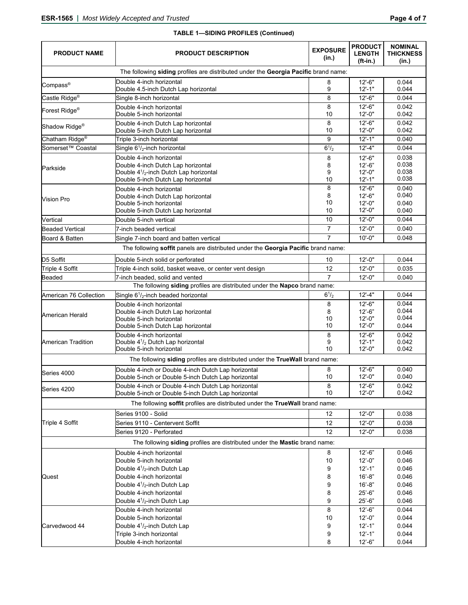| <b>PRODUCT NAME</b>           | <b>PRODUCT DESCRIPTION</b>                                                                                                                               | <b>EXPOSURE</b><br>(in.) | <b>PRODUCT</b><br><b>LENGTH</b><br>$(ft-in.)$       | <b>NOMINAL</b><br>THICKNESS<br>(in.) |
|-------------------------------|----------------------------------------------------------------------------------------------------------------------------------------------------------|--------------------------|-----------------------------------------------------|--------------------------------------|
|                               | The following siding profiles are distributed under the Georgia Pacific brand name:                                                                      |                          |                                                     |                                      |
| Compass®                      | Double 4-inch horizontal<br>Double 4.5-inch Dutch Lap horizontal                                                                                         | 8<br>9                   | $12 - 6"$<br>$12 - 1"$                              | 0.044<br>0.044                       |
| Castle Ridge <sup>®</sup>     | Single 8-inch horizontal                                                                                                                                 | 8                        | $12 - 6"$                                           | 0.044                                |
| Forest Ridge <sup>®</sup>     | Double 4-inch horizontal<br>Double 5-inch horizontal                                                                                                     | 8<br>10                  | $12 - 6"$<br>$12 - 0$ "                             | 0.042<br>0.042                       |
| Shadow Ridge <sup>®</sup>     | Double 4-inch Dutch Lap horizontal<br>Double 5-inch Dutch Lap horizontal                                                                                 | 8<br>10                  | $12 - 6"$<br>$12 - 0$ "                             | 0.042<br>0.042                       |
| Chatham Ridge <sup>®</sup>    | Triple 3-inch horizontal                                                                                                                                 | 9                        | $12' - 1"$                                          | 0.040                                |
| Somerset <sup>™</sup> Coastal | Single 6 <sup>1</sup> / <sub>2</sub> -inch horizontal                                                                                                    | $6^{1/2}$                | $12' - 4"$                                          | 0.044                                |
| Parkside                      | Double 4-inch horizontal<br>Double 4-inch Dutch Lap horizontal<br>Double $4\frac{1}{2}$ -inch Dutch Lap horizontal<br>Double 5-inch Dutch Lap horizontal | 8<br>8<br>9<br>10        | $12 - 6"$<br>$12 - 6"$<br>$12 - 0$ "<br>$12 - 1"$   | 0.038<br>0.038<br>0.038<br>0.038     |
| <b>Vision Pro</b>             | Double 4-inch horizontal<br>Double 4-inch Dutch Lap horizontal<br>Double 5-inch horizontal<br>Double 5-inch Dutch Lap horizontal                         | 8<br>8<br>10<br>10       | $12 - 6"$<br>$12' - 6"$<br>$12 - 0$ "<br>$12 - 0$ " | 0.040<br>0.040<br>0.040<br>0.040     |
| Vertical                      | Double 5-inch vertical                                                                                                                                   | 10                       | $12 - 0$ "                                          | 0.044                                |
| Beaded Vertical               | 7-inch beaded vertical                                                                                                                                   | $\overline{7}$           | $12 - 0$ "                                          | 0.040                                |
| Board & Batten                | Single 7-inch board and batten vertical                                                                                                                  | $\overline{7}$           | $10' - 0"$                                          | 0.048                                |
|                               | The following soffit panels are distributed under the Georgia Pacific brand name:                                                                        |                          |                                                     |                                      |
| D5 Soffit                     | Double 5-inch solid or perforated                                                                                                                        | 10                       | $12 - 0"$                                           | 0.044                                |
| Triple 4 Soffit               | Triple 4-inch solid, basket weave, or center vent design                                                                                                 | 12                       | $12 - 0"$                                           | 0.035                                |
| <b>Beaded</b>                 | 7-inch beaded, solid and vented                                                                                                                          | $\overline{7}$           | $12 - 0$ "                                          | 0.040                                |
|                               | The following siding profiles are distributed under the Napco brand name:                                                                                |                          |                                                     |                                      |
| American 76 Collection        | Single 6 <sup>1</sup> / <sub>2</sub> -inch beaded horizontal                                                                                             | $6^{1/2}$                | $12' - 4"$                                          | 0.044                                |
| <b>American Herald</b>        | Double 4-inch horizontal<br>Double 4-inch Dutch Lap horizontal<br>Double 5-inch horizontal<br>Double 5-inch Dutch Lap horizontal                         | 8<br>8<br>10<br>10       | $12 - 6"$<br>$12 - 6"$<br>$12 - 0"$<br>$12 - 0"$    | 0.044<br>0.044<br>0.044<br>0.044     |
| <b>American Tradition</b>     | Double 4-inch horizontal<br>Double $4\frac{1}{2}$ Dutch Lap horizontal<br>Double 5-inch horizontal                                                       | 8<br>9<br>10             | $12 - 6"$<br>$12 - 1"$<br>$12 - 0$ "                | 0.042<br>0.042<br>0.042              |
|                               | The following siding profiles are distributed under the TrueWall brand name:                                                                             |                          |                                                     |                                      |
| Series 4000                   | Double 4-inch or Double 4-inch Dutch Lap horizontal<br>Double 5-inch or Double 5-inch Dutch Lap horizontal                                               | 8<br>10                  | $12 - 6"$<br>$12 - 0$ "                             | 0.040<br>0.040                       |
| Series 4200                   | Double 4-inch or Double 4-inch Dutch Lap horizontal<br>Double 5-inch or Double 5-inch Dutch Lap horizontal                                               | 8<br>10                  | $12 - 6"$<br>$12 - 0"$                              | 0.042<br>0.042                       |
|                               | The following soffit profiles are distributed under the TrueWall brand name:                                                                             |                          |                                                     |                                      |
|                               | Series 9100 - Solid                                                                                                                                      | 12                       | $12 - 0$ "                                          | 0.038                                |
| Triple 4 Soffit               | Series 9110 - Centervent Soffit                                                                                                                          | 12                       | $12 - 0$ "                                          | 0.038                                |
|                               | Series 9120 - Perforated                                                                                                                                 | 12                       | $12 - 0$ "                                          | 0.038                                |
|                               | The following siding profiles are distributed under the Mastic brand name:                                                                               |                          |                                                     |                                      |
|                               | Double 4-inch horizontal                                                                                                                                 | 8                        | $12 - 6"$                                           | 0.046                                |
|                               | Double 5-inch horizontal                                                                                                                                 | 10                       | $12 - 0$ "                                          | 0.046                                |
|                               | Double $4^{1}/_{2}$ -inch Dutch Lap                                                                                                                      | 9                        | $12' - 1"$                                          | 0.046                                |
| Quest                         | Double 4-inch horizontal                                                                                                                                 | 8                        | $16' - 8"$                                          | 0.046                                |
|                               | Double $4^{1}/_{2}$ -inch Dutch Lap                                                                                                                      | 9                        | $16 - 8"$                                           | 0.046                                |
|                               | Double 4-inch horizontal                                                                                                                                 | 8                        | $25 - 6"$                                           | 0.046                                |
|                               | Double 4 <sup>1</sup> / <sub>2</sub> -inch Dutch Lap                                                                                                     | 9                        | $25 - 6"$                                           | 0.046                                |
|                               | Double 4-inch horizontal<br>Double 5-inch horizontal                                                                                                     | 8<br>10                  | $12 - 6"$<br>$12 - 0$ "                             | 0.044<br>0.044                       |
| Carvedwood 44                 | Double $4^{1}/_{2}$ -inch Dutch Lap                                                                                                                      | 9                        | $12 - 1"$                                           | 0.044                                |
|                               | Triple 3-inch horizontal                                                                                                                                 | 9                        | $12' - 1"$                                          | 0.044                                |
|                               | Double 4-inch horizontal                                                                                                                                 | 8                        | $12 - 6"$                                           | 0.044                                |

# **TABLE 1—SIDING PROFILES (Continued)**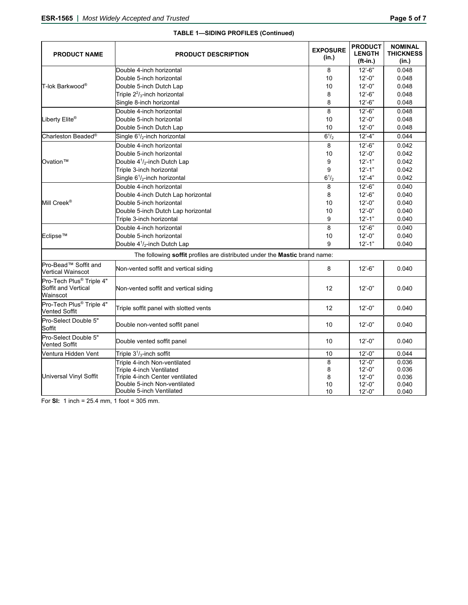| <b>PRODUCT NAME</b>                                                     | <b>PRODUCT DESCRIPTION</b>                                                 | <b>EXPOSURE</b><br>(in.) | <b>PRODUCT</b><br><b>LENGTH</b><br>$(ft-in.)$ | <b>NOMINAL</b><br><b>THICKNESS</b><br>(in.) |
|-------------------------------------------------------------------------|----------------------------------------------------------------------------|--------------------------|-----------------------------------------------|---------------------------------------------|
|                                                                         | Double 4-inch horizontal                                                   | 8                        | $12 - 6"$                                     | 0.048                                       |
|                                                                         | Double 5-inch horizontal                                                   | 10                       | $12 - 0$ "                                    | 0.048                                       |
| lT-lok Barkwood®                                                        | Double 5-inch Dutch Lap                                                    | 10                       | $12 - 0$ "                                    | 0.048                                       |
|                                                                         | Triple $2^2$ / <sub>3</sub> -inch horizontal                               | 8                        | $12' - 6"$                                    | 0.048                                       |
|                                                                         | Single 8-inch horizontal                                                   | 8                        | $12 - 6$ "                                    | 0.048                                       |
|                                                                         | Double 4-inch horizontal                                                   | 8                        | $12 - 6$ "                                    | 0.048                                       |
| Liberty Elite®                                                          | Double 5-inch horizontal                                                   | 10                       | $12' - 0''$                                   | 0.048                                       |
|                                                                         | Double 5-inch Dutch Lap                                                    | 10                       | $12 - 0$ "                                    | 0.048                                       |
| Charleston Beaded <sup>®</sup>                                          | Single $6^{1}/_{2}$ -inch horizontal                                       | $6^{1/2}$                | $12' - 4"$                                    | 0.044                                       |
|                                                                         | Double 4-inch horizontal                                                   | 8                        | $12' - 6"$                                    | 0.042                                       |
|                                                                         | Double 5-inch horizontal                                                   | 10                       | $12 - 0$ "                                    | 0.042                                       |
| Ovation™                                                                | Double $4^{1}/_{2}$ -inch Dutch Lap                                        | 9                        | $12 - 1"$                                     | 0.042                                       |
|                                                                         | Triple 3-inch horizontal                                                   | 9                        | $12' - 1$ "                                   | 0.042                                       |
|                                                                         | Single $6^{1}/_{2}$ -inch horizontal                                       | $6^{1/2}$                | $12' - 4"$                                    | 0.042                                       |
|                                                                         | Double 4-inch horizontal                                                   | 8                        | $12 - 6"$                                     | 0.040                                       |
|                                                                         | Double 4-inch Dutch Lap horizontal                                         | 8                        | $12 - 6$ "                                    | 0.040                                       |
| Mill Creek®                                                             | Double 5-inch horizontal                                                   | 10                       | $12 - 0$ "                                    | 0.040                                       |
|                                                                         | Double 5-inch Dutch Lap horizontal                                         | 10                       | $12 - 0$ "                                    | 0.040                                       |
|                                                                         | Triple 3-inch horizontal                                                   | 9                        | $12' - 1"$                                    | 0.040                                       |
|                                                                         | Double 4-inch horizontal                                                   | 8                        | $12 - 6"$                                     | 0.040                                       |
| Eclipse™                                                                | Double 5-inch horizontal                                                   | 10                       | $12 - 0$ "                                    | 0.040                                       |
|                                                                         | Double 4 <sup>1</sup> / <sub>2</sub> -inch Dutch Lap                       | 9                        | $12' - 1"$                                    | 0.040                                       |
|                                                                         | The following soffit profiles are distributed under the Mastic brand name: |                          |                                               |                                             |
| Pro-Bead™ Soffit and<br><b>Vertical Wainscot</b>                        | Non-vented soffit and vertical siding                                      | 8                        | $12 - 6$ "                                    | 0.040                                       |
| Pro-Tech Plus <sup>®</sup> Triple 4"<br>Soffit and Vertical<br>Wainscot | Non-vented soffit and vertical siding                                      | 12                       | $12 - 0$ "                                    | 0.040                                       |
| Pro-Tech Plus <sup>®</sup> Triple 4"<br>Vented Soffit                   | Triple soffit panel with slotted vents                                     | 12                       | $12' - 0''$                                   | 0.040                                       |
| Pro-Select Double 5"<br>Soffit                                          | Double non-vented soffit panel                                             | 10                       | $12 - 0$ "                                    | 0.040                                       |
| Pro-Select Double 5"<br><b>Vented Soffit</b>                            | Double vented soffit panel                                                 | 10                       | $12 - 0$ "                                    | 0.040                                       |
| Ventura Hidden Vent                                                     | Triple $31/3$ -inch soffit                                                 | 10                       | $12' - 0''$                                   | 0.044                                       |
| <b>Universal Vinyl Soffit</b>                                           | Triple 4-inch Non-ventilated                                               | 8                        | $12' - 0''$                                   | 0.036                                       |
|                                                                         | Triple 4-inch Ventilated                                                   | 8                        | $12 - 0$ "                                    | 0.036                                       |
|                                                                         | Triple 4-inch Center ventilated                                            | 8                        | $12' - 0''$                                   | 0.036                                       |
|                                                                         | Double 5-inch Non-ventilated                                               | 10                       | $12 - 0$ "                                    | 0.040                                       |
|                                                                         | Double 5-inch Ventilated                                                   | 10                       | $12 - 0$ "                                    | 0.040                                       |

# **TABLE 1—SIDING PROFILES (Continued)**

For **SI:** 1 inch = 25.4 mm, 1 foot = 305 mm.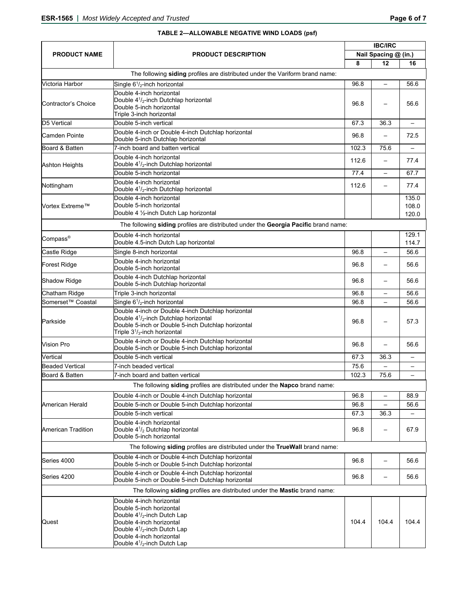#### **PRODUCT NAME PRODUCT DESCRIPTION IBC/IRC Nail Spacing @ (in.) 8 12 16** The following **siding** profiles are distributed under the Variform brand name: Victoria Harbor Single 6<sup>1</sup>/<sub>2</sub>-inch horizontal  $\sim$  96.8  $\vert$  –  $\vert$  56.6 Contractor's Choice Double 4-inch horizontal Double 41 /2-inch Dutchlap horizontal Double 5-inch horizontal Triple 3-inch horizontal 96.8 – 56.6 D5 Vertical Double 5-inch vertical 67.3 36.3 – Camden Pointe Double 4-inch or Double 4-inch Dutchlap horizontal Double 4-inch or Double 4-inch Dutchlap horizontal and the state of the state of the state of the 72.5 or 196.8 (1968 – 72.5 or 196.8 ) and the Dutchlap horizontal and the Dutchlap horizontal and the Dutchlap horizontal an Board & Batten **102.3** T-inch board and batten vertical 102.3 and 102.3 <sup>1</sup> 75.6 Ashton Heights Double 4-inch horizontal  $\begin{array}{|c|c|c|c|c|}\n \hline \text{Double 41}_{\text{2}}\text{-inch}\ \text{Dutchlap horizontal} & & & & & 112.6 & - & 77.4 \\
\hline \end{array}$ Double 5-inch horizontal **Double 5-inch horizontal** 67.7 Nottingham Double 4-inch horizontal  $\begin{array}{|c|c|c|c|c|}\n \hline \text{Double 41}_{\text{z}}\text{-inch Dutchlap horizontal} & & & & & 112.6 & - & 77.4 \\
\hline \end{array}$ Vortex Extreme™ Double 4-inch horizontal Double 5-inch horizontal Double 4 ½-inch Dutch Lap horizontal 135.0 108.0 120.0 The following **siding** profiles are distributed under the **Georgia Pacific** brand name: Compass® Double 4-inch horizontal Double 4.5-inch Dutch Lap horizontal 129.1 114.7 Castle Ridge Single 8-inch horizontal 96.8 – 56.6 Forest Ridge **Double 4-inch horizontal** Double 5-inch horizontal 96.8 – 56.6 Shadow Ridge Double 4-inch Dutchlap horizontal Double 5-inch Dutchlap horizontal 96.8 – 56.6 Chatham Ridge Triple 3-inch horizontal 96.8 – 56.6 Somerset™ Coastal Single 6<sup>1</sup>/<sub>2</sub>-inch horizontal  $\sim$  96.8  $\vert$  –  $\vert$  56.6 Parkside Double 4-inch or Double 4-inch Dutchlap horizontal Double 41 /2-inch Dutchlap horizontal Double 5-inch or Double 5-inch Dutchlap horizontal Triple 31 /3-inch horizontal  $96.8$  – 57.3 Vision Pro Double 4-inch or Double 4-inch Dutchlap horizontal Double 4-inch or Double 4-inch Dutchlap horizontal and the state of the state of the state of the 56.6 (see Fi<br>Double 5-inch or Double 5-inch Dutchlap horizontal and the state of the state of the state of the state of the Vertical Double 5-inch vertical 67.3 36.3 – Beaded Vertical 7-inch beaded vertical 75.6 – – Board & Batten **102.3** T-inch board and batten vertical 102.3 **102.3** – 102.3 <sup>–</sup> 75.6 The following **siding** profiles are distributed under the **Napco** brand name: American Herald Double 4-inch or Double 4-inch Dutchlap horizontal 96.8 – 88.9 Double 5-inch or Double 5-inch Dutchlap horizontal 96.8 – 56.6 Double 5-inch vertical 67.3 36.3 – American Tradition Double 4-inch horizontal Double 41 /2 Dutchlap horizontal Double 5-inch horizontal 96.8 – 67.9 The following **siding** profiles are distributed under the **TrueWall** brand name: Series 4000 **Double 4-inch or Double 4-inch Dutchlap horizontal** Double 4-inch or Double 4-inch Dutchlap horizontal 96.8 | - 56.6<br>Double 5-inch or Double 5-inch Dutchlap horizontal 96.8 | - 56.6 Series 4200 Double 4-inch or Double 4-inch Dutchlap horizontal Double 5-inch or Double 5-inch Dutchlap horizontal 96.8 – 56.6 The following **siding** profiles are distributed under the **Mastic** brand name: Quest Double 4-inch horizontal Double 5-inch horizontal Double 41 /2-inch Dutch Lap Double 4-inch horizontal Double 41 /2-inch Dutch Lap Double 4-inch horizontal 104.4 104.4 104.4

Double 41 /2-inch Dutch Lap

#### **TABLE 2—ALLOWABLE NEGATIVE WIND LOADS (psf)**